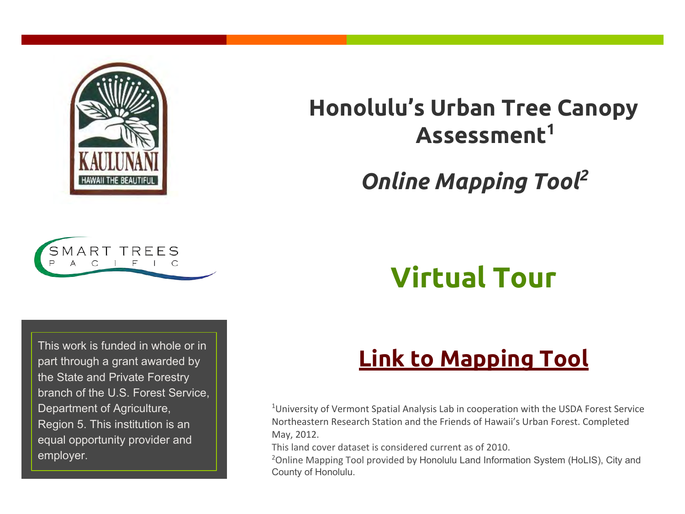

# **Honolulu's Urban Tree Canopy Assessment<sup>1</sup>**

# *Online Mapping Tool<sup>2</sup>*



# **Virtual Tour**

part through a grant awarded by the State and Private Forestry branch of the U.S. Forest Service, Department of Agriculture, Region 5. This institution is an equal opportunity provider and employer.

# This work is funded in whole or in **[Link to Mapping Tool](http://cchnl.maps.arcgis.com/apps/OnePane/basicviewer/index.html?appid=9f94d7913115442b9e1e991c9c392f76)** part through a grant awarded by

<sup>1</sup>University of Vermont Spatial Analysis Lab in cooperation with the USDA Forest Service Northeastern Research Station and the Friends of Hawaii's Urban Forest. Completed May, 2012.

This land cover dataset is considered current as of 2010.

<sup>2</sup>Online Mapping Tool provided by Honolulu Land Information System (HoLIS), City and County of Honolulu.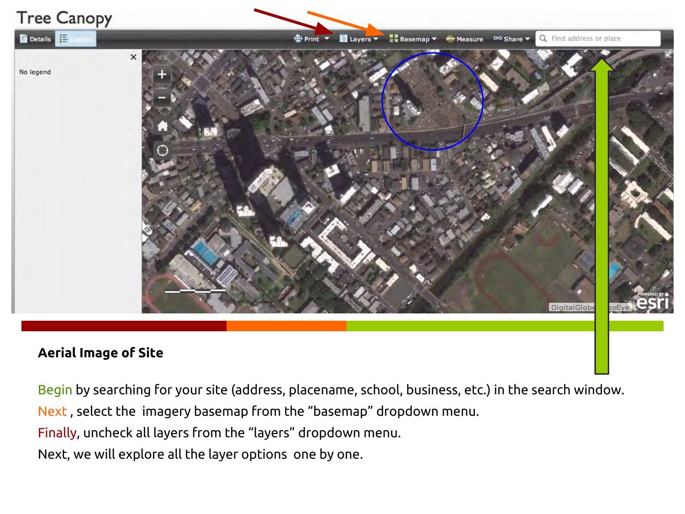

#### **Aerial Image of Site**

Begin by searching for your site (address, placename, school, business, etc.) in the search window.

Next , select the imagery basemap from the "basemap" dropdown menu.

Finally, uncheck all layers from the "layers" dropdown menu.

Next, we will explore all the layer options one by one.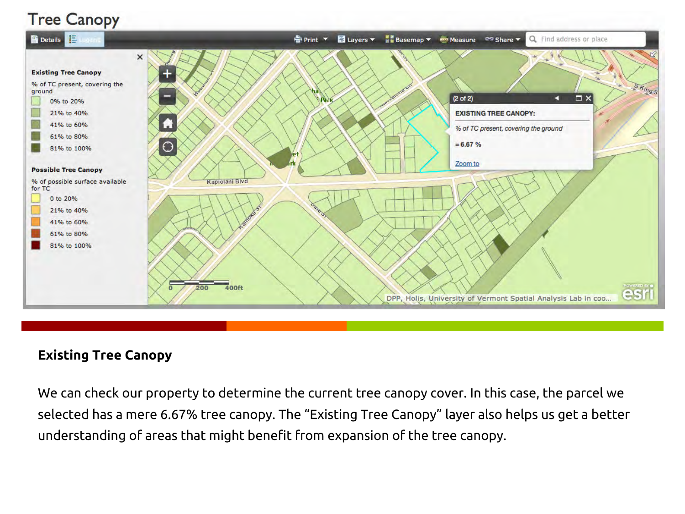

#### **Existing Tree Canopy**

We can check our property to determine the current tree canopy cover. In this case, the parcel we selected has a mere 6.67% tree canopy. The "Existing Tree Canopy" layer also helps us get a better understanding of areas that might benefit from expansion of the tree canopy.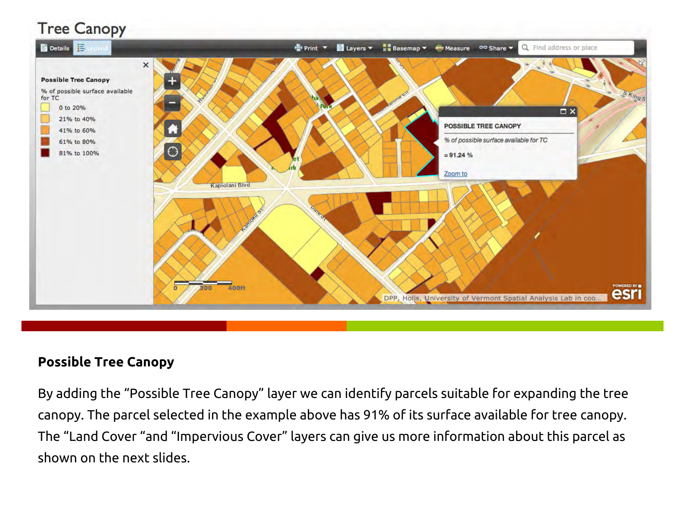

#### **Possible Tree Canopy**

By adding the "Possible Tree Canopy" layer we can identify parcels suitable for expanding the tree canopy. The parcel selected in the example above has 91% of its surface available for tree canopy. The "Land Cover "and "Impervious Cover" layers can give us more information about this parcel as shown on the next slides.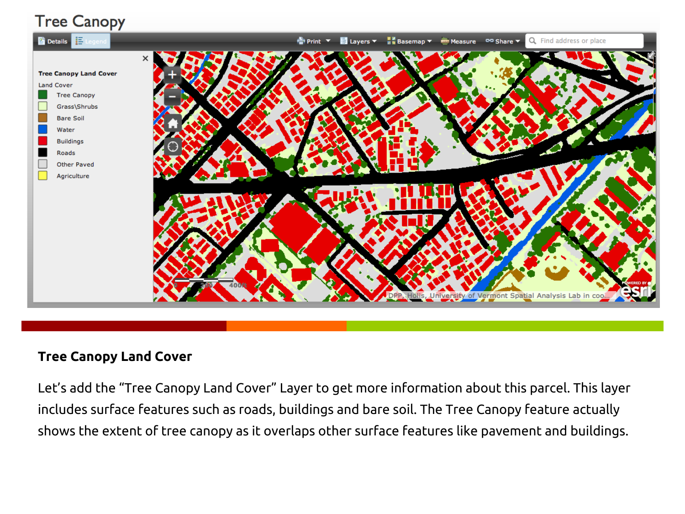

#### **Tree Canopy Land Cover**

Let's add the "Tree Canopy Land Cover" Layer to get more information about this parcel. This layer includes surface features such as roads, buildings and bare soil. The Tree Canopy feature actually shows the extent of tree canopy as it overlaps other surface features like pavement and buildings.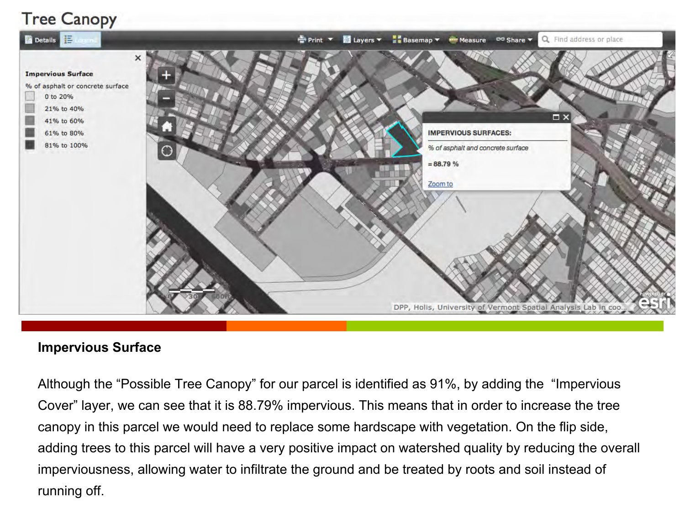

#### **Impervious Surface**

Although the "Possible Tree Canopy" for our parcel is identified as 91%, by adding the "Impervious Cover" layer, we can see that it is 88.79% impervious. This means that in order to increase the tree canopy in this parcel we would need to replace some hardscape with vegetation. On the flip side, adding trees to this parcel will have a very positive impact on watershed quality by reducing the overall imperviousness, allowing water to infiltrate the ground and be treated by roots and soil instead of running off.